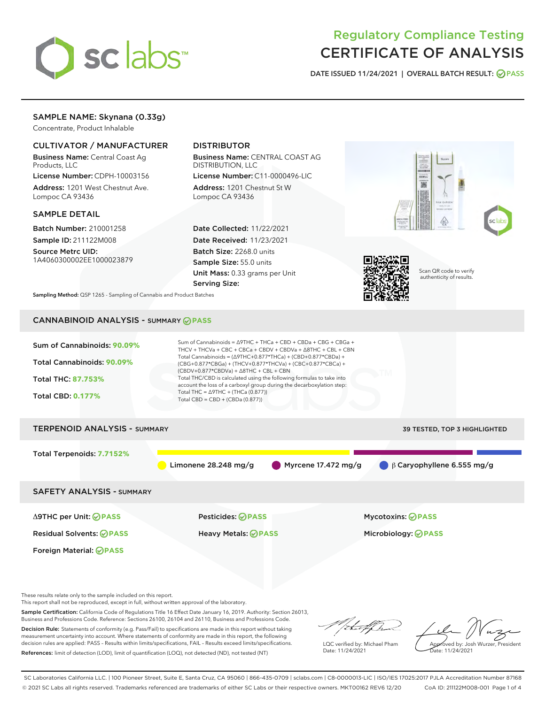

# Regulatory Compliance Testing CERTIFICATE OF ANALYSIS

DATE ISSUED 11/24/2021 | OVERALL BATCH RESULT: @ PASS

## SAMPLE NAME: Skynana (0.33g)

Concentrate, Product Inhalable

## CULTIVATOR / MANUFACTURER

Business Name: Central Coast Ag Products, LLC

License Number: CDPH-10003156 Address: 1201 West Chestnut Ave. Lompoc CA 93436

#### SAMPLE DETAIL

Batch Number: 210001258 Sample ID: 211122M008

Source Metrc UID: 1A4060300002EE1000023879

## DISTRIBUTOR

Business Name: CENTRAL COAST AG DISTRIBUTION, LLC

License Number: C11-0000496-LIC Address: 1201 Chestnut St W Lompoc CA 93436

Date Collected: 11/22/2021 Date Received: 11/23/2021 Batch Size: 2268.0 units Sample Size: 55.0 units Unit Mass: 0.33 grams per Unit Serving Size:





Scan QR code to verify authenticity of results.

Sampling Method: QSP 1265 - Sampling of Cannabis and Product Batches

## CANNABINOID ANALYSIS - SUMMARY **PASS**

| Sum of Cannabinoids: 90.09%<br>Total Cannabinoids: 90.09%<br>Total THC: 87.753%<br><b>Total CBD: 0.177%</b> | Sum of Cannabinoids = $\triangle$ 9THC + THCa + CBD + CBDa + CBG + CBGa +<br>THCV + THCVa + CBC + CBCa + CBDV + CBDVa + $\triangle$ 8THC + CBL + CBN<br>Total Cannabinoids = $(\Delta$ 9THC+0.877*THCa) + (CBD+0.877*CBDa) +<br>(CBG+0.877*CBGa) + (THCV+0.877*THCVa) + (CBC+0.877*CBCa) +<br>$(CBDV+0.877*CBDVa) + \Delta 8THC + CBL + CBN$<br>Total THC/CBD is calculated using the following formulas to take into<br>account the loss of a carboxyl group during the decarboxylation step:<br>Total THC = $\triangle$ 9THC + (THCa (0.877))<br>Total CBD = CBD + (CBDa (0.877)) |                                     |  |  |  |
|-------------------------------------------------------------------------------------------------------------|-------------------------------------------------------------------------------------------------------------------------------------------------------------------------------------------------------------------------------------------------------------------------------------------------------------------------------------------------------------------------------------------------------------------------------------------------------------------------------------------------------------------------------------------------------------------------------------|-------------------------------------|--|--|--|
| <b>TERPENOID ANALYSIS - SUMMARY</b>                                                                         |                                                                                                                                                                                                                                                                                                                                                                                                                                                                                                                                                                                     | <b>39 TESTED, TOP 3 HIGHLIGHTED</b> |  |  |  |
| Total Terpenoids: 7.7152%                                                                                   | Limonene $28.248$ mg/g<br>Myrcene $17.472$ mg/g                                                                                                                                                                                                                                                                                                                                                                                                                                                                                                                                     | $\beta$ Caryophyllene 6.555 mg/g    |  |  |  |
| <b>SAFETY ANALYSIS - SUMMARY</b>                                                                            |                                                                                                                                                                                                                                                                                                                                                                                                                                                                                                                                                                                     |                                     |  |  |  |
| $\triangle$ 9THC per Unit: $\odot$ PASS                                                                     | Pesticides: ⊘PASS                                                                                                                                                                                                                                                                                                                                                                                                                                                                                                                                                                   | <b>Mycotoxins: ⊘PASS</b>            |  |  |  |
| <b>Residual Solvents: ⊘PASS</b>                                                                             | <b>Heavy Metals: ⊘ PASS</b>                                                                                                                                                                                                                                                                                                                                                                                                                                                                                                                                                         | Microbiology: @PASS                 |  |  |  |
| Foreign Material: <b>⊘ PASS</b>                                                                             |                                                                                                                                                                                                                                                                                                                                                                                                                                                                                                                                                                                     |                                     |  |  |  |

These results relate only to the sample included on this report.

This report shall not be reproduced, except in full, without written approval of the laboratory.

Sample Certification: California Code of Regulations Title 16 Effect Date January 16, 2019. Authority: Section 26013, Business and Professions Code. Reference: Sections 26100, 26104 and 26110, Business and Professions Code.

Decision Rule: Statements of conformity (e.g. Pass/Fail) to specifications are made in this report without taking measurement uncertainty into account. Where statements of conformity are made in this report, the following decision rules are applied: PASS – Results within limits/specifications, FAIL – Results exceed limits/specifications. References: limit of detection (LOD), limit of quantification (LOQ), not detected (ND), not tested (NT)

/ that f(ho

LQC verified by: Michael Pham Date: 11/24/2021

Approved by: Josh Wurzer, President ate: 11/24/2021

SC Laboratories California LLC. | 100 Pioneer Street, Suite E, Santa Cruz, CA 95060 | 866-435-0709 | sclabs.com | C8-0000013-LIC | ISO/IES 17025:2017 PJLA Accreditation Number 87168 © 2021 SC Labs all rights reserved. Trademarks referenced are trademarks of either SC Labs or their respective owners. MKT00162 REV6 12/20 CoA ID: 211122M008-001 Page 1 of 4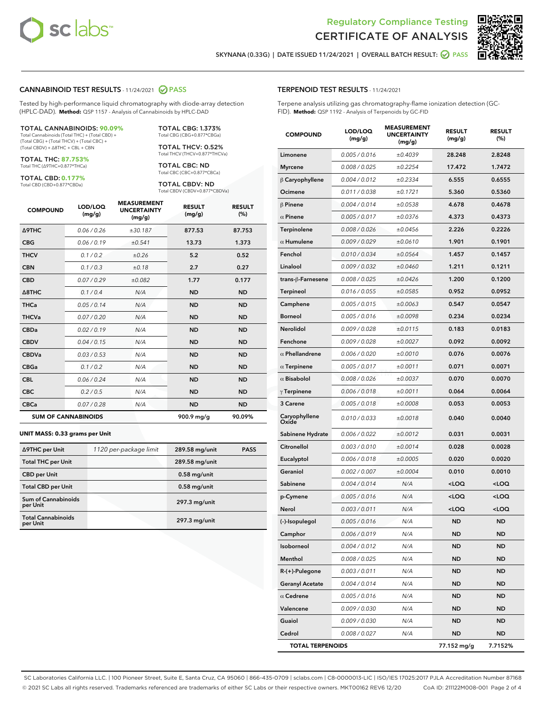



SKYNANA (0.33G) | DATE ISSUED 11/24/2021 | OVERALL BATCH RESULT: O PASS

#### CANNABINOID TEST RESULTS - 11/24/2021 2 PASS

Tested by high-performance liquid chromatography with diode-array detection (HPLC-DAD). **Method:** QSP 1157 - Analysis of Cannabinoids by HPLC-DAD

#### TOTAL CANNABINOIDS: **90.09%**

Total Cannabinoids (Total THC) + (Total CBD) + (Total CBG) + (Total THCV) + (Total CBC) + (Total CBDV) + ∆8THC + CBL + CBN

TOTAL THC: **87.753%** Total THC (∆9THC+0.877\*THCa)

TOTAL CBD: **0.177%**

Total CBD (CBD+0.877\*CBDa)

TOTAL CBG: 1.373% Total CBG (CBG+0.877\*CBGa)

TOTAL THCV: 0.52% Total THCV (THCV+0.877\*THCVa)

TOTAL CBC: ND Total CBC (CBC+0.877\*CBCa)

TOTAL CBDV: ND Total CBDV (CBDV+0.877\*CBDVa)

| <b>COMPOUND</b>  | LOD/LOQ<br>(mg/g)          | <b>MEASUREMENT</b><br><b>UNCERTAINTY</b><br>(mg/g) | <b>RESULT</b><br>(mg/g) | <b>RESULT</b><br>(%) |
|------------------|----------------------------|----------------------------------------------------|-------------------------|----------------------|
| Δ9THC            | 0.06 / 0.26                | ±30.187                                            | 877.53                  | 87.753               |
| <b>CBG</b>       | 0.06/0.19                  | ±0.541                                             | 13.73                   | 1.373                |
| <b>THCV</b>      | 0.1/0.2                    | ±0.26                                              | 5.2                     | 0.52                 |
| <b>CBN</b>       | 0.1/0.3                    | ±0.18                                              | 2.7                     | 0.27                 |
| <b>CBD</b>       | 0.07/0.29                  | ±0.082                                             | 1.77                    | 0.177                |
| $\triangle$ 8THC | 0.1/0.4                    | N/A                                                | <b>ND</b>               | <b>ND</b>            |
| <b>THCa</b>      | 0.05/0.14                  | N/A                                                | <b>ND</b>               | <b>ND</b>            |
| <b>THCVa</b>     | 0.07 / 0.20                | N/A                                                | <b>ND</b>               | <b>ND</b>            |
| <b>CBDa</b>      | 0.02/0.19                  | N/A                                                | <b>ND</b>               | <b>ND</b>            |
| <b>CBDV</b>      | 0.04 / 0.15                | N/A                                                | <b>ND</b>               | <b>ND</b>            |
| <b>CBDVa</b>     | 0.03/0.53                  | N/A                                                | <b>ND</b>               | <b>ND</b>            |
| <b>CBGa</b>      | 0.1 / 0.2                  | N/A                                                | <b>ND</b>               | <b>ND</b>            |
| <b>CBL</b>       | 0.06 / 0.24                | N/A                                                | <b>ND</b>               | <b>ND</b>            |
| <b>CBC</b>       | 0.2 / 0.5                  | N/A                                                | <b>ND</b>               | <b>ND</b>            |
| <b>CBCa</b>      | 0.07/0.28                  | N/A                                                | <b>ND</b>               | <b>ND</b>            |
|                  | <b>SUM OF CANNABINOIDS</b> |                                                    | 900.9 mg/g              | 90.09%               |

#### **UNIT MASS: 0.33 grams per Unit**

| ∆9THC per Unit                         | 1120 per-package limit | 289.58 mg/unit  | <b>PASS</b> |
|----------------------------------------|------------------------|-----------------|-------------|
| <b>Total THC per Unit</b>              |                        | 289.58 mg/unit  |             |
| <b>CBD</b> per Unit                    |                        | $0.58$ mg/unit  |             |
| <b>Total CBD per Unit</b>              |                        | $0.58$ mg/unit  |             |
| <b>Sum of Cannabinoids</b><br>per Unit |                        | 297.3 mg/unit   |             |
| <b>Total Cannabinoids</b><br>per Unit  |                        | $297.3$ mg/unit |             |

| <b>COMPOUND</b>         | LOD/LOQ<br>(mg/g) | ASUREIVI<br><b>UNCERTAINTY</b><br>(mg/g) | <b>RESULT</b><br>(mg/g)                         | <b>RESULT</b><br>$(\%)$ |
|-------------------------|-------------------|------------------------------------------|-------------------------------------------------|-------------------------|
| Limonene                | 0.005 / 0.016     | ±0.4039                                  | 28.248                                          | 2.8248                  |
| <b>Myrcene</b>          | 0.008 / 0.025     | ±0.2254                                  | 17.472                                          | 1.7472                  |
| $\beta$ Caryophyllene   | 0.004 / 0.012     | ±0.2334                                  | 6.555                                           | 0.6555                  |
| Ocimene                 | 0.011 / 0.038     | ±0.1721                                  | 5.360                                           | 0.5360                  |
| $\beta$ Pinene          | 0.004 / 0.014     | ±0.0538                                  | 4.678                                           | 0.4678                  |
| $\alpha$ Pinene         | 0.005 / 0.017     | ±0.0376                                  | 4.373                                           | 0.4373                  |
| Terpinolene             | 0.008 / 0.026     | ±0.0456                                  | 2.226                                           | 0.2226                  |
| $\alpha$ Humulene       | 0.009/0.029       | ±0.0610                                  | 1.901                                           | 0.1901                  |
| Fenchol                 | 0.010 / 0.034     | ±0.0564                                  | 1.457                                           | 0.1457                  |
| Linalool                | 0.009 / 0.032     | ±0.0460                                  | 1.211                                           | 0.1211                  |
| trans-β-Farnesene       | 0.008 / 0.025     | ±0.0426                                  | 1.200                                           | 0.1200                  |
| <b>Terpineol</b>        | 0.016 / 0.055     | ±0.0585                                  | 0.952                                           | 0.0952                  |
| Camphene                | 0.005 / 0.015     | ±0.0063                                  | 0.547                                           | 0.0547                  |
| <b>Borneol</b>          | 0.005 / 0.016     | ±0.0098                                  | 0.234                                           | 0.0234                  |
| Nerolidol               | 0.009 / 0.028     | ±0.0115                                  | 0.183                                           | 0.0183                  |
| Fenchone                | 0.009 / 0.028     | ±0.0027                                  | 0.092                                           | 0.0092                  |
| $\alpha$ Phellandrene   | 0.006 / 0.020     | ±0.0010                                  | 0.076                                           | 0.0076                  |
| $\alpha$ Terpinene      | 0.005 / 0.017     | ±0.0011                                  | 0.071                                           | 0.0071                  |
| $\alpha$ Bisabolol      | 0.008 / 0.026     | ±0.0037                                  | 0.070                                           | 0.0070                  |
| $\gamma$ Terpinene      | 0.006 / 0.018     | ±0.0011                                  | 0.064                                           | 0.0064                  |
| 3 Carene                | 0.005 / 0.018     | ±0.0008                                  | 0.053                                           | 0.0053                  |
| Caryophyllene<br>Oxide  | 0.010 / 0.033     | ±0.0018                                  | 0.040                                           | 0.0040                  |
| Sabinene Hydrate        | 0.006 / 0.022     | ±0.0012                                  | 0.031                                           | 0.0031                  |
| Citronellol             | 0.003 / 0.010     | ±0.0014                                  | 0.028                                           | 0.0028                  |
| Eucalyptol              | 0.006 / 0.018     | ±0.0005                                  | 0.020                                           | 0.0020                  |
| Geraniol                | 0.002 / 0.007     | ±0.0004                                  | 0.010                                           | 0.0010                  |
| Sabinene                | 0.004 / 0.014     | N/A                                      | <loq< th=""><th><loq< th=""></loq<></th></loq<> | <loq< th=""></loq<>     |
| p-Cymene                | 0.005 / 0.016     | N/A                                      | <loq< th=""><th><loq< th=""></loq<></th></loq<> | <loq< th=""></loq<>     |
| Nerol                   | 0.003 / 0.011     | N/A                                      | <loq< th=""><th><loq< th=""></loq<></th></loq<> | <loq< th=""></loq<>     |
| (-)-Isopulegol          | 0.005 / 0.016     | N/A                                      | <b>ND</b>                                       | <b>ND</b>               |
| Camphor                 | 0.006 / 0.019     | N/A                                      | ND                                              | ND                      |
| Isoborneol              | 0.004 / 0.012     | N/A                                      | ND                                              | ND                      |
| Menthol                 | 0.008 / 0.025     | N/A                                      | ND                                              | ND                      |
| $R-(+)$ -Pulegone       | 0.003 / 0.011     | N/A                                      | ND                                              | ND                      |
| <b>Geranyl Acetate</b>  | 0.004 / 0.014     | N/A                                      | ND                                              | ND                      |
| $\alpha$ Cedrene        | 0.005 / 0.016     | N/A                                      | ND                                              | ND                      |
| Valencene               | 0.009 / 0.030     | N/A                                      | ND                                              | ND                      |
| Guaiol                  | 0.009 / 0.030     | N/A                                      | ND                                              | ND                      |
| Cedrol                  | 0.008 / 0.027     | N/A                                      | ND                                              | ND                      |
| <b>TOTAL TERPENOIDS</b> |                   |                                          | 77.152 mg/g                                     | 7.7152%                 |

SC Laboratories California LLC. | 100 Pioneer Street, Suite E, Santa Cruz, CA 95060 | 866-435-0709 | sclabs.com | C8-0000013-LIC | ISO/IES 17025:2017 PJLA Accreditation Number 87168 © 2021 SC Labs all rights reserved. Trademarks referenced are trademarks of either SC Labs or their respective owners. MKT00162 REV6 12/20 CoA ID: 211122M008-001 Page 2 of 4

## TERPENOID TEST RESULTS - 11/24/2021

Terpene analysis utilizing gas chromatography-flame ionization detection (GC-FID). **Method:** QSP 1192 - Analysis of Terpenoids by GC-FID

MEASUREMENT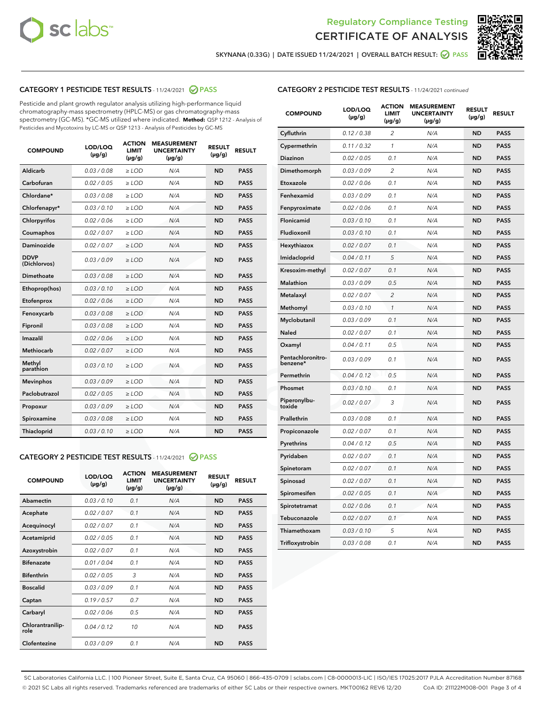



SKYNANA (0.33G) | DATE ISSUED 11/24/2021 | OVERALL BATCH RESULT:  $\bigcirc$  PASS

## CATEGORY 1 PESTICIDE TEST RESULTS - 11/24/2021 2 PASS

Pesticide and plant growth regulator analysis utilizing high-performance liquid chromatography-mass spectrometry (HPLC-MS) or gas chromatography-mass spectrometry (GC-MS). \*GC-MS utilized where indicated. **Method:** QSP 1212 - Analysis of Pesticides and Mycotoxins by LC-MS or QSP 1213 - Analysis of Pesticides by GC-MS

| <b>Aldicarb</b><br>0.03 / 0.08<br><b>ND</b><br>$\ge$ LOD<br>N/A<br><b>PASS</b><br>Carbofuran<br>0.02/0.05<br>$\ge$ LOD<br>N/A<br><b>ND</b><br><b>PASS</b><br>Chlordane*<br>0.03 / 0.08<br><b>ND</b><br>$>$ LOD<br>N/A<br><b>PASS</b><br>0.03/0.10<br><b>ND</b><br><b>PASS</b><br>Chlorfenapyr*<br>$\ge$ LOD<br>N/A<br>0.02 / 0.06<br>N/A<br><b>ND</b><br><b>PASS</b><br>Chlorpyrifos<br>$\ge$ LOD<br>0.02 / 0.07<br>N/A<br><b>ND</b><br><b>PASS</b><br>Coumaphos<br>$>$ LOD<br>Daminozide<br>0.02 / 0.07<br>$\ge$ LOD<br>N/A<br><b>ND</b><br><b>PASS</b><br><b>DDVP</b><br>0.03/0.09<br>$\ge$ LOD<br>N/A<br><b>ND</b><br><b>PASS</b><br>(Dichlorvos)<br>Dimethoate<br><b>ND</b><br><b>PASS</b><br>0.03 / 0.08<br>$>$ LOD<br>N/A<br>0.03/0.10<br>Ethoprop(hos)<br>$\ge$ LOD<br>N/A<br><b>ND</b><br><b>PASS</b><br>0.02 / 0.06<br>$\ge$ LOD<br>N/A<br><b>ND</b><br><b>PASS</b><br>Etofenprox<br>Fenoxycarb<br>0.03 / 0.08<br>$>$ LOD<br>N/A<br><b>ND</b><br><b>PASS</b><br>0.03 / 0.08<br><b>ND</b><br><b>PASS</b><br>Fipronil<br>$\ge$ LOD<br>N/A<br>Imazalil<br>0.02 / 0.06<br>$>$ LOD<br>N/A<br><b>ND</b><br><b>PASS</b><br>0.02 / 0.07<br>Methiocarb<br>N/A<br><b>ND</b><br>$>$ LOD<br><b>PASS</b><br>Methyl<br>0.03/0.10<br>$\ge$ LOD<br>N/A<br><b>ND</b><br><b>PASS</b><br>parathion<br>0.03/0.09<br>$\ge$ LOD<br>N/A<br><b>ND</b><br><b>PASS</b><br><b>Mevinphos</b><br>Paclobutrazol<br>0.02 / 0.05<br>$\ge$ LOD<br>N/A<br><b>ND</b><br><b>PASS</b><br>0.03/0.09<br>N/A<br>$\ge$ LOD<br><b>ND</b><br><b>PASS</b><br>Propoxur<br>0.03 / 0.08<br><b>ND</b><br><b>PASS</b><br>Spiroxamine<br>$\ge$ LOD<br>N/A<br><b>PASS</b><br>Thiacloprid<br>0.03/0.10<br>$\ge$ LOD<br>N/A<br><b>ND</b> | <b>COMPOUND</b> | LOD/LOQ<br>$(\mu g/g)$ | <b>ACTION</b><br>LIMIT<br>$(\mu g/g)$ | <b>MEASUREMENT</b><br><b>UNCERTAINTY</b><br>$(\mu g/g)$ | <b>RESULT</b><br>$(\mu g/g)$ | <b>RESULT</b> |
|----------------------------------------------------------------------------------------------------------------------------------------------------------------------------------------------------------------------------------------------------------------------------------------------------------------------------------------------------------------------------------------------------------------------------------------------------------------------------------------------------------------------------------------------------------------------------------------------------------------------------------------------------------------------------------------------------------------------------------------------------------------------------------------------------------------------------------------------------------------------------------------------------------------------------------------------------------------------------------------------------------------------------------------------------------------------------------------------------------------------------------------------------------------------------------------------------------------------------------------------------------------------------------------------------------------------------------------------------------------------------------------------------------------------------------------------------------------------------------------------------------------------------------------------------------------------------------------------------------------------------------------------------------------------------------------------|-----------------|------------------------|---------------------------------------|---------------------------------------------------------|------------------------------|---------------|
|                                                                                                                                                                                                                                                                                                                                                                                                                                                                                                                                                                                                                                                                                                                                                                                                                                                                                                                                                                                                                                                                                                                                                                                                                                                                                                                                                                                                                                                                                                                                                                                                                                                                                              |                 |                        |                                       |                                                         |                              |               |
|                                                                                                                                                                                                                                                                                                                                                                                                                                                                                                                                                                                                                                                                                                                                                                                                                                                                                                                                                                                                                                                                                                                                                                                                                                                                                                                                                                                                                                                                                                                                                                                                                                                                                              |                 |                        |                                       |                                                         |                              |               |
|                                                                                                                                                                                                                                                                                                                                                                                                                                                                                                                                                                                                                                                                                                                                                                                                                                                                                                                                                                                                                                                                                                                                                                                                                                                                                                                                                                                                                                                                                                                                                                                                                                                                                              |                 |                        |                                       |                                                         |                              |               |
|                                                                                                                                                                                                                                                                                                                                                                                                                                                                                                                                                                                                                                                                                                                                                                                                                                                                                                                                                                                                                                                                                                                                                                                                                                                                                                                                                                                                                                                                                                                                                                                                                                                                                              |                 |                        |                                       |                                                         |                              |               |
|                                                                                                                                                                                                                                                                                                                                                                                                                                                                                                                                                                                                                                                                                                                                                                                                                                                                                                                                                                                                                                                                                                                                                                                                                                                                                                                                                                                                                                                                                                                                                                                                                                                                                              |                 |                        |                                       |                                                         |                              |               |
|                                                                                                                                                                                                                                                                                                                                                                                                                                                                                                                                                                                                                                                                                                                                                                                                                                                                                                                                                                                                                                                                                                                                                                                                                                                                                                                                                                                                                                                                                                                                                                                                                                                                                              |                 |                        |                                       |                                                         |                              |               |
|                                                                                                                                                                                                                                                                                                                                                                                                                                                                                                                                                                                                                                                                                                                                                                                                                                                                                                                                                                                                                                                                                                                                                                                                                                                                                                                                                                                                                                                                                                                                                                                                                                                                                              |                 |                        |                                       |                                                         |                              |               |
|                                                                                                                                                                                                                                                                                                                                                                                                                                                                                                                                                                                                                                                                                                                                                                                                                                                                                                                                                                                                                                                                                                                                                                                                                                                                                                                                                                                                                                                                                                                                                                                                                                                                                              |                 |                        |                                       |                                                         |                              |               |
|                                                                                                                                                                                                                                                                                                                                                                                                                                                                                                                                                                                                                                                                                                                                                                                                                                                                                                                                                                                                                                                                                                                                                                                                                                                                                                                                                                                                                                                                                                                                                                                                                                                                                              |                 |                        |                                       |                                                         |                              |               |
|                                                                                                                                                                                                                                                                                                                                                                                                                                                                                                                                                                                                                                                                                                                                                                                                                                                                                                                                                                                                                                                                                                                                                                                                                                                                                                                                                                                                                                                                                                                                                                                                                                                                                              |                 |                        |                                       |                                                         |                              |               |
|                                                                                                                                                                                                                                                                                                                                                                                                                                                                                                                                                                                                                                                                                                                                                                                                                                                                                                                                                                                                                                                                                                                                                                                                                                                                                                                                                                                                                                                                                                                                                                                                                                                                                              |                 |                        |                                       |                                                         |                              |               |
|                                                                                                                                                                                                                                                                                                                                                                                                                                                                                                                                                                                                                                                                                                                                                                                                                                                                                                                                                                                                                                                                                                                                                                                                                                                                                                                                                                                                                                                                                                                                                                                                                                                                                              |                 |                        |                                       |                                                         |                              |               |
|                                                                                                                                                                                                                                                                                                                                                                                                                                                                                                                                                                                                                                                                                                                                                                                                                                                                                                                                                                                                                                                                                                                                                                                                                                                                                                                                                                                                                                                                                                                                                                                                                                                                                              |                 |                        |                                       |                                                         |                              |               |
|                                                                                                                                                                                                                                                                                                                                                                                                                                                                                                                                                                                                                                                                                                                                                                                                                                                                                                                                                                                                                                                                                                                                                                                                                                                                                                                                                                                                                                                                                                                                                                                                                                                                                              |                 |                        |                                       |                                                         |                              |               |
|                                                                                                                                                                                                                                                                                                                                                                                                                                                                                                                                                                                                                                                                                                                                                                                                                                                                                                                                                                                                                                                                                                                                                                                                                                                                                                                                                                                                                                                                                                                                                                                                                                                                                              |                 |                        |                                       |                                                         |                              |               |
|                                                                                                                                                                                                                                                                                                                                                                                                                                                                                                                                                                                                                                                                                                                                                                                                                                                                                                                                                                                                                                                                                                                                                                                                                                                                                                                                                                                                                                                                                                                                                                                                                                                                                              |                 |                        |                                       |                                                         |                              |               |
|                                                                                                                                                                                                                                                                                                                                                                                                                                                                                                                                                                                                                                                                                                                                                                                                                                                                                                                                                                                                                                                                                                                                                                                                                                                                                                                                                                                                                                                                                                                                                                                                                                                                                              |                 |                        |                                       |                                                         |                              |               |
|                                                                                                                                                                                                                                                                                                                                                                                                                                                                                                                                                                                                                                                                                                                                                                                                                                                                                                                                                                                                                                                                                                                                                                                                                                                                                                                                                                                                                                                                                                                                                                                                                                                                                              |                 |                        |                                       |                                                         |                              |               |
|                                                                                                                                                                                                                                                                                                                                                                                                                                                                                                                                                                                                                                                                                                                                                                                                                                                                                                                                                                                                                                                                                                                                                                                                                                                                                                                                                                                                                                                                                                                                                                                                                                                                                              |                 |                        |                                       |                                                         |                              |               |
|                                                                                                                                                                                                                                                                                                                                                                                                                                                                                                                                                                                                                                                                                                                                                                                                                                                                                                                                                                                                                                                                                                                                                                                                                                                                                                                                                                                                                                                                                                                                                                                                                                                                                              |                 |                        |                                       |                                                         |                              |               |
|                                                                                                                                                                                                                                                                                                                                                                                                                                                                                                                                                                                                                                                                                                                                                                                                                                                                                                                                                                                                                                                                                                                                                                                                                                                                                                                                                                                                                                                                                                                                                                                                                                                                                              |                 |                        |                                       |                                                         |                              |               |

#### CATEGORY 2 PESTICIDE TEST RESULTS - 11/24/2021 @ PASS

| <b>COMPOUND</b>          | LOD/LOO<br>$(\mu g/g)$ | <b>ACTION</b><br>LIMIT<br>$(\mu g/g)$ | <b>MEASUREMENT</b><br><b>UNCERTAINTY</b><br>$(\mu g/g)$ | <b>RESULT</b><br>$(\mu g/g)$ | <b>RESULT</b> |  |
|--------------------------|------------------------|---------------------------------------|---------------------------------------------------------|------------------------------|---------------|--|
| Abamectin                | 0.03/0.10              | 0.1                                   | N/A                                                     | <b>ND</b>                    | <b>PASS</b>   |  |
| Acephate                 | 0.02/0.07              | 0.1                                   | N/A                                                     | <b>ND</b>                    | <b>PASS</b>   |  |
| Acequinocyl              | 0.02/0.07              | 0.1                                   | N/A                                                     | <b>ND</b>                    | <b>PASS</b>   |  |
| Acetamiprid              | 0.02/0.05              | 0.1                                   | N/A                                                     | <b>ND</b>                    | <b>PASS</b>   |  |
| Azoxystrobin             | 0.02/0.07              | 0.1                                   | N/A                                                     | <b>ND</b>                    | <b>PASS</b>   |  |
| <b>Bifenazate</b>        | 0.01 / 0.04            | 0.1                                   | N/A                                                     | <b>ND</b>                    | <b>PASS</b>   |  |
| <b>Bifenthrin</b>        | 0.02 / 0.05            | 3                                     | N/A                                                     | <b>ND</b>                    | <b>PASS</b>   |  |
| <b>Boscalid</b>          | 0.03/0.09              | 0.1                                   | N/A                                                     | <b>ND</b>                    | <b>PASS</b>   |  |
| Captan                   | 0.19/0.57              | 07                                    | N/A                                                     | <b>ND</b>                    | <b>PASS</b>   |  |
| Carbaryl                 | 0.02/0.06              | 0.5                                   | N/A                                                     | <b>ND</b>                    | <b>PASS</b>   |  |
| Chlorantranilip-<br>role | 0.04/0.12              | 10                                    | N/A                                                     | <b>ND</b>                    | <b>PASS</b>   |  |
| Clofentezine             | 0 03 / 0 09            | 0 <sub>1</sub>                        | N/A                                                     | <b>ND</b>                    | <b>PASS</b>   |  |

### CATEGORY 2 PESTICIDE TEST RESULTS - 11/24/2021 continued

| <b>COMPOUND</b>               | LOD/LOQ<br>(µg/g) | <b>ACTION</b><br>LIMIT<br>$(\mu g/g)$ | <b>MEASUREMENT</b><br><b>UNCERTAINTY</b><br>(µg/g) | <b>RESULT</b><br>(µg/g) | <b>RESULT</b> |
|-------------------------------|-------------------|---------------------------------------|----------------------------------------------------|-------------------------|---------------|
| Cyfluthrin                    | 0.12 / 0.38       | 2                                     | N/A                                                | ND                      | <b>PASS</b>   |
| Cypermethrin                  | 0.11 / 0.32       | $\mathbf{1}$                          | N/A                                                | ND                      | <b>PASS</b>   |
| Diazinon                      | 0.02 / 0.05       | 0.1                                   | N/A                                                | ND                      | <b>PASS</b>   |
| Dimethomorph                  | 0.03 / 0.09       | $\overline{2}$                        | N/A                                                | ND                      | <b>PASS</b>   |
| Etoxazole                     | 0.02 / 0.06       | 0.1                                   | N/A                                                | ND                      | <b>PASS</b>   |
| Fenhexamid                    | 0.03 / 0.09       | 0.1                                   | N/A                                                | ND                      | <b>PASS</b>   |
| Fenpyroximate                 | 0.02 / 0.06       | 0.1                                   | N/A                                                | ND                      | <b>PASS</b>   |
| Flonicamid                    | 0.03 / 0.10       | 0.1                                   | N/A                                                | ND                      | <b>PASS</b>   |
| Fludioxonil                   | 0.03 / 0.10       | 0.1                                   | N/A                                                | ND                      | <b>PASS</b>   |
| Hexythiazox                   | 0.02 / 0.07       | 0.1                                   | N/A                                                | <b>ND</b>               | <b>PASS</b>   |
| Imidacloprid                  | 0.04 / 0.11       | 5                                     | N/A                                                | ND                      | <b>PASS</b>   |
| Kresoxim-methyl               | 0.02 / 0.07       | 0.1                                   | N/A                                                | ND                      | <b>PASS</b>   |
| Malathion                     | 0.03 / 0.09       | 0.5                                   | N/A                                                | ND                      | <b>PASS</b>   |
| Metalaxyl                     | 0.02 / 0.07       | $\overline{c}$                        | N/A                                                | <b>ND</b>               | <b>PASS</b>   |
| Methomyl                      | 0.03 / 0.10       | $\mathcal{I}$                         | N/A                                                | <b>ND</b>               | <b>PASS</b>   |
| Myclobutanil                  | 0.03 / 0.09       | 0.1                                   | N/A                                                | <b>ND</b>               | <b>PASS</b>   |
| Naled                         | 0.02 / 0.07       | 0.1                                   | N/A                                                | ND                      | <b>PASS</b>   |
| Oxamyl                        | 0.04 / 0.11       | 0.5                                   | N/A                                                | ND                      | PASS          |
| Pentachloronitro-<br>benzene* | 0.03 / 0.09       | 0.1                                   | N/A                                                | ND                      | <b>PASS</b>   |
| Permethrin                    | 0.04 / 0.12       | 0.5                                   | N/A                                                | <b>ND</b>               | <b>PASS</b>   |
| Phosmet                       | 0.03 / 0.10       | 0.1                                   | N/A                                                | <b>ND</b>               | <b>PASS</b>   |
| Piperonylbu-<br>toxide        | 0.02 / 0.07       | 3                                     | N/A                                                | ND                      | <b>PASS</b>   |
| Prallethrin                   | 0.03 / 0.08       | 0.1                                   | N/A                                                | <b>ND</b>               | <b>PASS</b>   |
| Propiconazole                 | 0.02 / 0.07       | 0.1                                   | N/A                                                | ND                      | <b>PASS</b>   |
| Pyrethrins                    | 0.04 / 0.12       | 0.5                                   | N/A                                                | ND                      | <b>PASS</b>   |
| Pyridaben                     | 0.02 / 0.07       | 0.1                                   | N/A                                                | ND                      | <b>PASS</b>   |
| Spinetoram                    | 0.02 / 0.07       | 0.1                                   | N/A                                                | ND                      | PASS          |
| Spinosad                      | 0.02 / 0.07       | 0.1                                   | N/A                                                | ND                      | PASS          |
| Spiromesifen                  | 0.02 / 0.05       | 0.1                                   | N/A                                                | <b>ND</b>               | <b>PASS</b>   |
| Spirotetramat                 | 0.02 / 0.06       | 0.1                                   | N/A                                                | ND                      | <b>PASS</b>   |
| Tebuconazole                  | 0.02 / 0.07       | 0.1                                   | N/A                                                | ND                      | PASS          |
| Thiamethoxam                  | 0.03 / 0.10       | 5                                     | N/A                                                | ND                      | <b>PASS</b>   |
| Trifloxystrobin               | 0.03 / 0.08       | 0.1                                   | N/A                                                | <b>ND</b>               | <b>PASS</b>   |

SC Laboratories California LLC. | 100 Pioneer Street, Suite E, Santa Cruz, CA 95060 | 866-435-0709 | sclabs.com | C8-0000013-LIC | ISO/IES 17025:2017 PJLA Accreditation Number 87168 © 2021 SC Labs all rights reserved. Trademarks referenced are trademarks of either SC Labs or their respective owners. MKT00162 REV6 12/20 CoA ID: 211122M008-001 Page 3 of 4